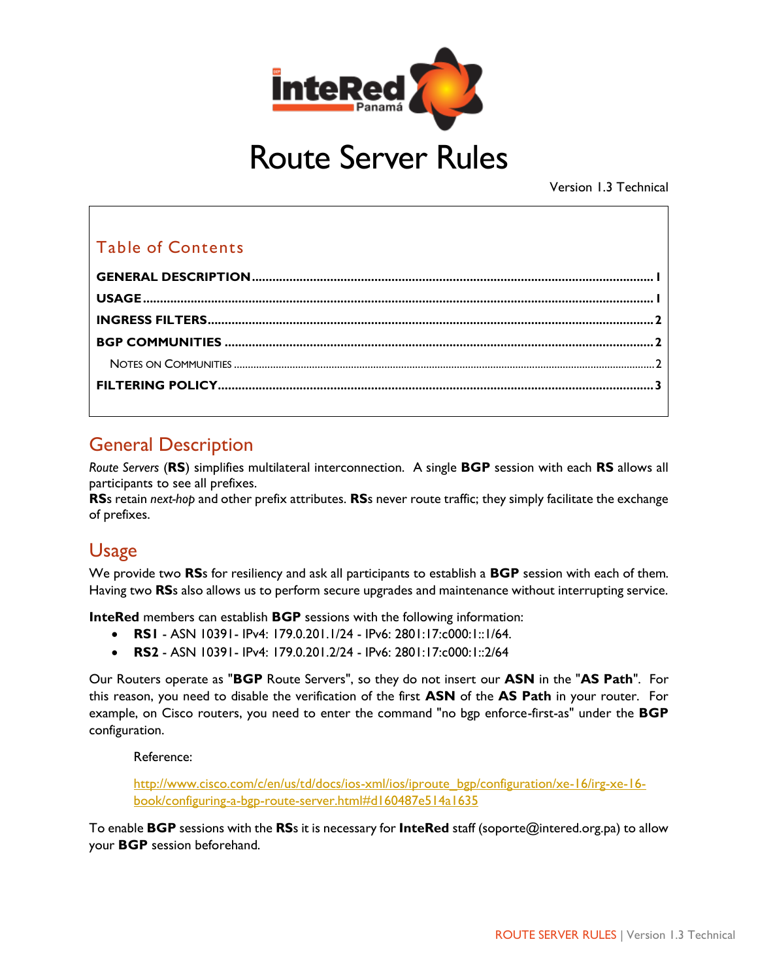

# Route Server Rules

Version 1.3 Technical

#### Table of Contents

### <span id="page-0-0"></span>General Description

*Route Servers* (**RS**) simplifies multilateral interconnection. A single **BGP** session with each **RS** allows all participants to see all prefixes.

**RS**s retain *next-hop* and other prefix attributes. **RS**s never route traffic; they simply facilitate the exchange of prefixes.

### <span id="page-0-1"></span>Usage

We provide two **RS**s for resiliency and ask all participants to establish a **BGP** session with each of them. Having two **RS**s also allows us to perform secure upgrades and maintenance without interrupting service.

**InteRed** members can establish **BGP** sessions with the following information:

- **RS1** ASN 10391- IPv4: 179.0.201.1/24 IPv6: 2801:17:c000:1::1/64.
- **RS2** ASN 10391- IPv4: 179.0.201.2/24 IPv6: 2801:17:c000:1::2/64

Our Routers operate as "**BGP** Route Servers", so they do not insert our **ASN** in the "**AS Path**". For this reason, you need to disable the verification of the first **ASN** of the **AS Path** in your router. For example, on Cisco routers, you need to enter the command "no bgp enforce-first-as" under the **BGP** configuration.

Reference:

[http://www.cisco.com/c/en/us/td/docs/ios-xml/ios/iproute\\_bgp/configuration/xe-16/irg-xe-16](http://www.cisco.com/c/en/us/td/docs/ios-xml/ios/iproute_bgp/configuration/xe-16/irg-xe-16-book/configuring-a-bgp-route-server.html#d160487e514a1635) [book/configuring-a-bgp-route-server.html#d160487e514a1635](http://www.cisco.com/c/en/us/td/docs/ios-xml/ios/iproute_bgp/configuration/xe-16/irg-xe-16-book/configuring-a-bgp-route-server.html#d160487e514a1635)

To enable **BGP** sessions with the **RS**s it is necessary for **InteRed** staff (soporte@intered.org.pa) to allow your **BGP** session beforehand.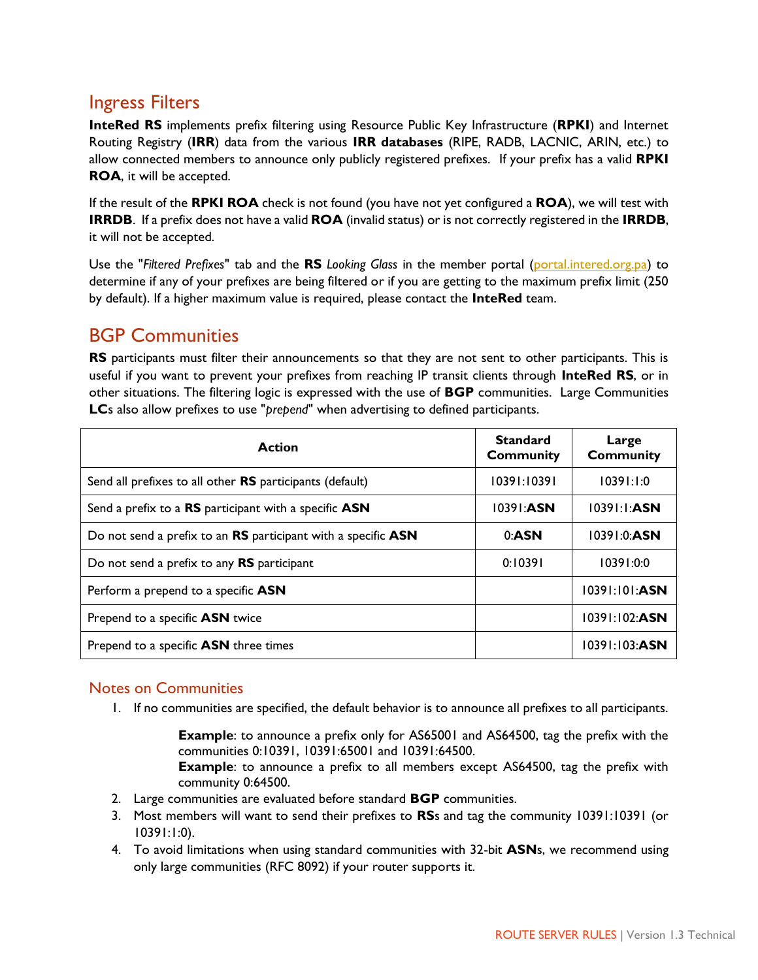#### <span id="page-1-0"></span>Ingress Filters

**InteRed RS** implements prefix filtering using Resource Public Key Infrastructure (**RPKI**) and Internet Routing Registry (**IRR**) data from the various **IRR databases** (RIPE, RADB, LACNIC, ARIN, etc.) to allow connected members to announce only publicly registered prefixes. If your prefix has a valid **RPKI ROA**, it will be accepted.

If the result of the **RPKI ROA** check is not found (you have not yet configured a **ROA**), we will test with **IRRDB**. If a prefix does not have a valid **ROA** (invalid status) or is not correctly registered in the **IRRDB**, it will not be accepted.

Use the "*Filtered Prefixes*" tab and the **RS** *Looking Glass* in the member portal [\(portal.intered.org.pa\)](http://portal.intered.org.pa/) to determine if any of your prefixes are being filtered or if you are getting to the maximum prefix limit (250 by default). If a higher maximum value is required, please contact the **InteRed** team.

### <span id="page-1-1"></span>BGP Communities

**RS** participants must filter their announcements so that they are not sent to other participants. This is useful if you want to prevent your prefixes from reaching IP transit clients through **InteRed RS**, or in other situations. The filtering logic is expressed with the use of **BGP** communities. Large Communities **LC**s also allow prefixes to use "*prepend*" when advertising to defined participants.

| <b>Action</b>                                                 | <b>Standard</b><br><b>Community</b> | Large<br><b>Community</b>  |
|---------------------------------------------------------------|-------------------------------------|----------------------------|
| Send all prefixes to all other RS participants (default)      | 10391:10391                         | 10391:1:0                  |
| Send a prefix to a RS participant with a specific ASN         | $1039$ : ASN                        | $1039$ $\cdot$ $\cdot$ ASN |
| Do not send a prefix to an RS participant with a specific ASN | 0:ASN                               | 10391:0:ASN                |
| Do not send a prefix to any RS participant                    | 0:10391                             | 10391:0:0                  |
| Perform a prepend to a specific ASN                           |                                     | $10391:101:$ ASN           |
| Prepend to a specific ASN twice                               |                                     | $10391:102:$ ASN           |
| Prepend to a specific ASN three times                         |                                     | $10391:103:$ ASN           |

#### <span id="page-1-2"></span>Notes on Communities

1. If no communities are specified, the default behavior is to announce all prefixes to all participants.

**Example**: to announce a prefix only for AS65001 and AS64500, tag the prefix with the communities 0:10391, 10391:65001 and 10391:64500.

**Example**: to announce a prefix to all members except AS64500, tag the prefix with community 0:64500.

- 2. Large communities are evaluated before standard **BGP** communities.
- 3. Most members will want to send their prefixes to **RS**s and tag the community 10391:10391 (or 10391:1:0).
- 4. To avoid limitations when using standard communities with 32-bit **ASN**s, we recommend using only large communities (RFC 8092) if your router supports it.